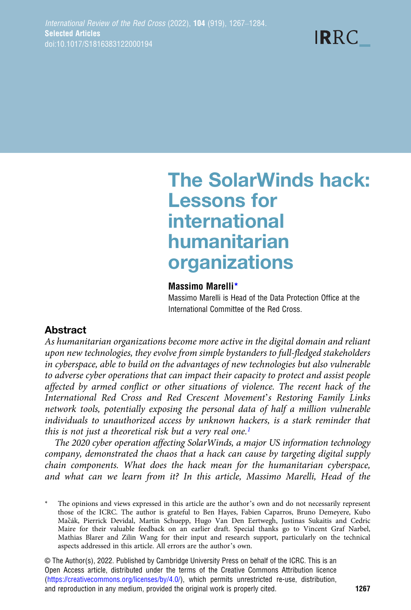**IRRC** 

# The SolarWinds hack: Lessons for international humanitarian organizations

#### Massimo Marelli\*

Massimo Marelli is Head of the Data Protection Office at the International Committee of the Red Cross.

# Abstract

As humanitarian organizations become more active in the digital domain and reliant upon new technologies, they evolve from simple bystanders to full-fledged stakeholders in cyberspace, able to build on the advantages of new technologies but also vulnerable to adverse cyber operations that can impact their capacity to protect and assist people affected by armed conflict or other situations of violence. The recent hack of the International Red Cross and Red Crescent Movement's Restoring Family Links network tools, potentially exposing the personal data of half a million vulnerable individuals to unauthorized access by unknown hackers, is a stark reminder that this is not just a theoretical risk but a very real one.<sup>1</sup>

The 2020 cyber operation affecting SolarWinds, a major US information technology company, demonstrated the chaos that a hack can cause by targeting digital supply chain components. What does the hack mean for the humanitarian cyberspace, and what can we learn from it? In this article, Massimo Marelli, Head of the

The opinions and views expressed in this article are the author's own and do not necessarily represent those of the ICRC. The author is grateful to Ben Hayes, Fabien Caparros, Bruno Demeyere, Kubo Macák, Pierrick Devidal, Martin Schuepp, Hugo Van Den Eertwegh, Justinas Sukaitis and Cedric ̌ Maire for their valuable feedback on an earlier draft. Special thanks go to Vincent Graf Narbel, Mathias Blarer and Zilin Wang for their input and research support, particularly on the technical aspects addressed in this article. All errors are the author's own.

© The Author(s), 2022. Published by Cambridge University Press on behalf of the ICRC. This is an Open Access article, distributed under the terms of the Creative Commons Attribution licence ([https://creativecommons.org/licenses/by/4.0/\)](https://creativecommons.org/licenses/by/4.0/), which permits unrestricted re-use, distribution, and reproduction in any medium, provided the original work is properly cited. 1267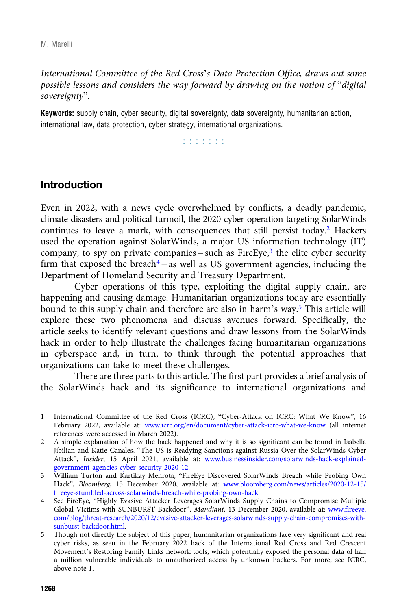<span id="page-1-0"></span>International Committee of the Red Cross's Data Protection Office, draws out some possible lessons and considers the way forward by drawing on the notion of "digital sovereignty".

Keywords: supply chain, cyber security, digital sovereignty, data sovereignty, humanitarian action, international law, data protection, cyber strategy, international organizations.

r r r r r r r

# Introduction

Even in 2022, with a news cycle overwhelmed by conflicts, a deadly pandemic, climate disasters and political turmoil, the 2020 cyber operation targeting SolarWinds continues to leave a mark, with consequences that still persist today.<sup>2</sup> Hackers used the operation against SolarWinds, a major US information technology (IT) company, to spy on private companies – such as  $FireEye<sup>3</sup>$ , the elite cyber security firm that exposed the breach<sup>4</sup> – as well as US government agencies, including the Department of Homeland Security and Treasury Department.

Cyber operations of this type, exploiting the digital supply chain, are happening and causing damage. Humanitarian organizations today are essentially bound to this supply chain and therefore are also in harm's way.5 This article will explore these two phenomena and discuss avenues forward. Specifically, the article seeks to identify relevant questions and draw lessons from the SolarWinds hack in order to help illustrate the challenges facing humanitarian organizations in cyberspace and, in turn, to think through the potential approaches that organizations can take to meet these challenges.

There are three parts to this article. The first part provides a brief analysis of the SolarWinds hack and its significance to international organizations and

- International Committee of the Red Cross (ICRC), "Cyber-Attack on ICRC: What We Know", 16 February 2022, available at: [www.icrc.org/en/document/cyber-attack-icrc-what-we-know](https://www.icrc.org/en/document/cyber-attack-icrc-what-we-know) (all internet references were accessed in March 2022).
- 2 A simple explanation of how the hack happened and why it is so significant can be found in Isabella Jibilian and Katie Canales, "The US is Readying Sanctions against Russia Over the SolarWinds Cyber Attack", Insider, 15 April 2021, available at: [www.businessinsider.com/solarwinds-hack-explained](https://www.businessinsider.com/solarwinds-hack-explained-government-agencies-cyber-security-2020-12)[government-agencies-cyber-security-2020-12](https://www.businessinsider.com/solarwinds-hack-explained-government-agencies-cyber-security-2020-12).
- 3 William Turton and Kartikay Mehrota, "FireEye Discovered SolarWinds Breach while Probing Own Hack", Bloomberg, 15 December 2020, available at: [www.bloomberg.com/news/articles/2020-12-15/](https://www.bloomberg.com/news/articles/2020-12-15/fireeye-stumbled-across-solarwinds-breach-while-probing-own-hack) [fireeye-stumbled-across-solarwinds-breach-while-probing-own-hack](https://www.bloomberg.com/news/articles/2020-12-15/fireeye-stumbled-across-solarwinds-breach-while-probing-own-hack).
- 4 See FireEye, "Highly Evasive Attacker Leverages SolarWinds Supply Chains to Compromise Multiple Global Victims with SUNBURST Backdoor", Mandiant, 13 December 2020, available at: [www.fireeye.](https://www.fireeye.com/blog/threat-research/2020/12/evasive-attacker-leverages-solarwinds-supply-chain-compromises-with-sunburst-backdoor.html) [com/blog/threat-research/2020/12/evasive-attacker-leverages-solarwinds-supply-chain-compromises-with](https://www.fireeye.com/blog/threat-research/2020/12/evasive-attacker-leverages-solarwinds-supply-chain-compromises-with-sunburst-backdoor.html)[sunburst-backdoor.html](https://www.fireeye.com/blog/threat-research/2020/12/evasive-attacker-leverages-solarwinds-supply-chain-compromises-with-sunburst-backdoor.html).
- 5 Though not directly the subject of this paper, humanitarian organizations face very significant and real cyber risks, as seen in the February 2022 hack of the International Red Cross and Red Crescent Movement's Restoring Family Links network tools, which potentially exposed the personal data of half a million vulnerable individuals to unauthorized access by unknown hackers. For more, see ICRC, above note 1.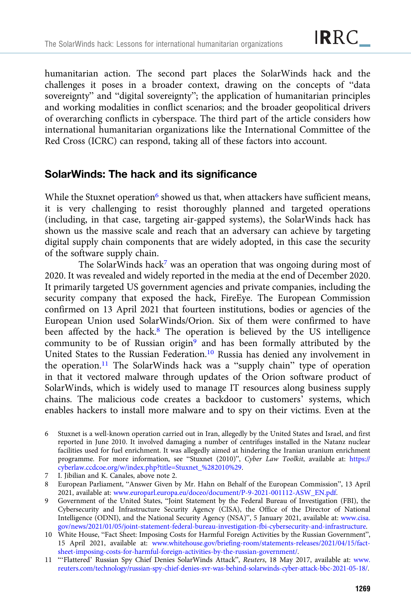humanitarian action. The second part places the SolarWinds hack and the challenges it poses in a broader context, drawing on the concepts of "data sovereignty" and "digital sovereignty"; the application of humanitarian principles and working modalities in conflict scenarios; and the broader geopolitical drivers of overarching conflicts in cyberspace. The third part of the article considers how international humanitarian organizations like the International Committee of the Red Cross (ICRC) can respond, taking all of these factors into account.

# SolarWinds: The hack and its significance

While the Stuxnet operation<sup>6</sup> showed us that, when attackers have sufficient means, it is very challenging to resist thoroughly planned and targeted operations (including, in that case, targeting air-gapped systems), the SolarWinds hack has shown us the massive scale and reach that an adversary can achieve by targeting digital supply chain components that are widely adopted, in this case the security of the software supply chain.

The SolarWinds hack<sup>7</sup> was an operation that was ongoing during most of 2020. It was revealed and widely reported in the media at the end of December 2020. It primarily targeted US government agencies and private companies, including the security company that exposed the hack, FireEye. The European Commission confirmed on 13 April 2021 that fourteen institutions, bodies or agencies of the European Union used SolarWinds/Orion. Six of them were confirmed to have been affected by the hack.8 The operation is believed by the US intelligence community to be of Russian origin<sup>9</sup> and has been formally attributed by the United States to the Russian Federation.<sup>10</sup> Russia has denied any involvement in the operation.11 The SolarWinds hack was a "supply chain" type of operation in that it vectored malware through updates of the Orion software product of SolarWinds, which is widely used to manage IT resources along business supply chains. The malicious code creates a backdoor to customers' systems, which enables hackers to install more malware and to spy on their victims. Even at the

7 I. Jibilian and K. Canales, above note 2.

8 European Parliament, "Answer Given by Mr. Hahn on Behalf of the European Commission", 13 April 2021, available at: [www.europarl.europa.eu/doceo/document/P-9-2021-001112-ASW\\_EN.pdf](https://www.europarl.europa.eu/doceo/document/P-9-2021-001112-ASW_EN.pdf).

- 9 Government of the United States, "Joint Statement by the Federal Bureau of Investigation (FBI), the Cybersecurity and Infrastructure Security Agency (CISA), the Office of the Director of National Intelligence (ODNI), and the National Security Agency (NSA)", 5 January 2021, available at: [www.cisa.](https://www.cisa.gov/news/2021/01/05/joint-statement-federal-bureau-investigation-fbi-cybersecurity-and-infrastructure) [gov/news/2021/01/05/joint-statement-federal-bureau-investigation-fbi-cybersecurity-and-infrastructure](https://www.cisa.gov/news/2021/01/05/joint-statement-federal-bureau-investigation-fbi-cybersecurity-and-infrastructure).
- 10 White House, "Fact Sheet: Imposing Costs for Harmful Foreign Activities by the Russian Government", 15 April 2021, available at: [www.whitehouse.gov/briefing-room/statements-releases/2021/04/15/fact](https://www.whitehouse.gov/briefing-room/statements-releases/2021/04/15/fact-sheet-imposing-costs-for-harmful-foreign-activities-by-the-russian-government/)[sheet-imposing-costs-for-harmful-foreign-activities-by-the-russian-government/.](https://www.whitehouse.gov/briefing-room/statements-releases/2021/04/15/fact-sheet-imposing-costs-for-harmful-foreign-activities-by-the-russian-government/)

<sup>6</sup> Stuxnet is a well-known operation carried out in Iran, allegedly by the United States and Israel, and first reported in June 2010. It involved damaging a number of centrifuges installed in the Natanz nuclear facilities used for fuel enrichment. It was allegedly aimed at hindering the Iranian uranium enrichment programme. For more information, see "Stuxnet (2010)", Cyber Law Toolkit, available at: [https://](https://cyberlaw.ccdcoe.org/w/index.php?title=Stuxnet_%282010%29) [cyberlaw.ccdcoe.org/w/index.php?title=Stuxnet\\_%282010%29](https://cyberlaw.ccdcoe.org/w/index.php?title=Stuxnet_%282010%29).

<sup>11</sup> "'Flattered' Russian Spy Chief Denies SolarWinds Attack", Reuters, 18 May 2017, available at: [www.](https://www.reuters.com/technology/russian-spy-chief-denies-svr-was-behind-solarwinds-cyber-attack-bbc-2021-05-18/) [reuters.com/technology/russian-spy-chief-denies-svr-was-behind-solarwinds-cyber-attack-bbc-2021-05-18/](https://www.reuters.com/technology/russian-spy-chief-denies-svr-was-behind-solarwinds-cyber-attack-bbc-2021-05-18/).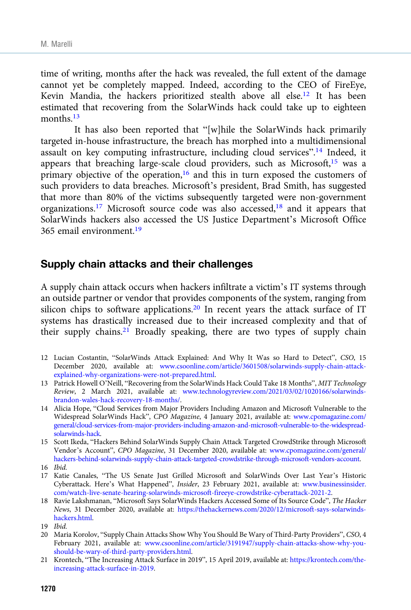time of writing, months after the hack was revealed, the full extent of the damage cannot yet be completely mapped. Indeed, according to the CEO of FireEye, Kevin Mandia, the hackers prioritized stealth above all else.<sup>12</sup> It has been estimated that recovering from the SolarWinds hack could take up to eighteen months.<sup>13</sup>

It has also been reported that "[w]hile the SolarWinds hack primarily targeted in-house infrastructure, the breach has morphed into a multidimensional assault on key computing infrastructure, including cloud services".<sup>14</sup> Indeed, it appears that breaching large-scale cloud providers, such as Microsoft, $15$  was a primary objective of the operation,<sup>16</sup> and this in turn exposed the customers of such providers to data breaches. Microsoft's president, Brad Smith, has suggested that more than 80% of the victims subsequently targeted were non-government organizations.<sup>17</sup> Microsoft source code was also accessed,<sup>18</sup> and it appears that SolarWinds hackers also accessed the US Justice Department's Microsoft Office 365 email environment.19

## Supply chain attacks and their challenges

A supply chain attack occurs when hackers infiltrate a victim's IT systems through an outside partner or vendor that provides components of the system, ranging from silicon chips to software applications.<sup>20</sup> In recent years the attack surface of IT systems has drastically increased due to their increased complexity and that of their supply chains.<sup>21</sup> Broadly speaking, there are two types of supply chain

- 12 Lucian Costantin, "SolarWinds Attack Explained: And Why It Was so Hard to Detect", CSO, 15 December 2020, available at: [www.csoonline.com/article/3601508/solarwinds-supply-chain-attack](https://www.csoonline.com/article/3601508/solarwinds-supply-chain-attack-explained-why-organizations-were-not-prepared.html)[explained-why-organizations-were-not-prepared.html](https://www.csoonline.com/article/3601508/solarwinds-supply-chain-attack-explained-why-organizations-were-not-prepared.html).
- 13 Patrick Howell O'Neill, "Recovering from the SolarWinds Hack Could Take 18 Months", MIT Technology Review, 2 March 2021, available at: [www.technologyreview.com/2021/03/02/1020166/solarwinds](https://www.technologyreview.com/2021/03/02/1020166/solarwinds-brandon-wales-hack-recovery-18-months/)[brandon-wales-hack-recovery-18-months/](https://www.technologyreview.com/2021/03/02/1020166/solarwinds-brandon-wales-hack-recovery-18-months/).
- 14 Alicia Hope, "Cloud Services from Major Providers Including Amazon and Microsoft Vulnerable to the Widespread SolarWinds Hack", CPO Magazine, 4 January 2021, available at: [www.cpomagazine.com/](https://www.cpomagazine.com/general/cloud-services-from-major-providers-including-amazon-and-microsoft-vulnerable-to-the-widespread-solarwinds-hack) [general/cloud-services-from-major-providers-including-amazon-and-microsoft-vulnerable-to-the-widespread](https://www.cpomagazine.com/general/cloud-services-from-major-providers-including-amazon-and-microsoft-vulnerable-to-the-widespread-solarwinds-hack)[solarwinds-hack.](https://www.cpomagazine.com/general/cloud-services-from-major-providers-including-amazon-and-microsoft-vulnerable-to-the-widespread-solarwinds-hack)
- 15 Scott Ikeda, "Hackers Behind SolarWinds Supply Chain Attack Targeted CrowdStrike through Microsoft Vendor's Account", CPO Magazine, 31 December 2020, available at: [www.cpomagazine.com/general/](https://www.cpomagazine.com/general/hackers-behind-solarwinds-supply-chain-attack-targeted-crowdstrike-through-microsoft-vendors-account) [hackers-behind-solarwinds-supply-chain-attack-targeted-crowdstrike-through-microsoft-vendors-account](https://www.cpomagazine.com/general/hackers-behind-solarwinds-supply-chain-attack-targeted-crowdstrike-through-microsoft-vendors-account).
- 16 Ibid.
- 17 Katie Canales, "The US Senate Just Grilled Microsoft and SolarWinds Over Last Year's Historic Cyberattack. Here's What Happened", Insider, 23 February 2021, available at: [www.businessinsider.](https://www.businessinsider.com/watch-live-senate-hearing-solarwinds-microsoft-fireeye-crowdstrike-cyberattack-2021-2) [com/watch-live-senate-hearing-solarwinds-microsoft-fireeye-crowdstrike-cyberattack-2021-2.](https://www.businessinsider.com/watch-live-senate-hearing-solarwinds-microsoft-fireeye-crowdstrike-cyberattack-2021-2)
- 18 Ravie Lakshmanan, "Microsoft Says Solar Winds Hackers Accessed Some of Its Source Code", The Hacker News, 31 December 2020, available at: [https://thehackernews.com/2020/12/microsoft-says-solarwinds](https://thehackernews.com/2020/12/microsoft-says-solarwinds-hackers.html)[hackers.html](https://thehackernews.com/2020/12/microsoft-says-solarwinds-hackers.html).
- 19 Ibid.
- 20 Maria Korolov, "Supply Chain Attacks Show Why You Should Be Wary of Third-Party Providers", CSO, 4 February 2021, available at: [www.csoonline.com/article/3191947/supply-chain-attacks-show-why-you](https://www.csoonline.com/article/3191947/supply-chain-attacks-show-why-you-should-be-wary-of-third-party-providers.html)[should-be-wary-of-third-party-providers.html](https://www.csoonline.com/article/3191947/supply-chain-attacks-show-why-you-should-be-wary-of-third-party-providers.html).
- 21 Krontech, "The Increasing Attack Surface in 2019", 15 April 2019, available at: [https://krontech.com/the](https://krontech.com/the-increasing-attack-surface-in-2019)[increasing-attack-surface-in-2019](https://krontech.com/the-increasing-attack-surface-in-2019).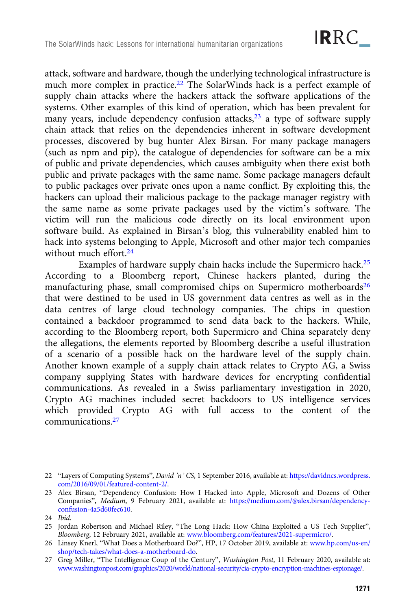attack, software and hardware, though the underlying technological infrastructure is much more complex in practice.<sup>22</sup> The SolarWinds hack is a perfect example of supply chain attacks where the hackers attack the software applications of the systems. Other examples of this kind of operation, which has been prevalent for many years, include dependency confusion attacks, $23$  a type of software supply chain attack that relies on the dependencies inherent in software development processes, discovered by bug hunter Alex Birsan. For many package managers (such as npm and pip), the catalogue of dependencies for software can be a mix of public and private dependencies, which causes ambiguity when there exist both public and private packages with the same name. Some package managers default to public packages over private ones upon a name conflict. By exploiting this, the hackers can upload their malicious package to the package manager registry with the same name as some private packages used by the victim's software. The victim will run the malicious code directly on its local environment upon software build. As explained in Birsan's blog, this vulnerability enabled him to hack into systems belonging to Apple, Microsoft and other major tech companies without much effort.<sup>24</sup>

Examples of hardware supply chain hacks include the Supermicro hack.25 According to a Bloomberg report, Chinese hackers planted, during the manufacturing phase, small compromised chips on Supermicro motherboards<sup>26</sup> that were destined to be used in US government data centres as well as in the data centres of large cloud technology companies. The chips in question contained a backdoor programmed to send data back to the hackers. While, according to the Bloomberg report, both Supermicro and China separately deny the allegations, the elements reported by Bloomberg describe a useful illustration of a scenario of a possible hack on the hardware level of the supply chain. Another known example of a supply chain attack relates to Crypto AG, a Swiss company supplying States with hardware devices for encrypting confidential communications. As revealed in a Swiss parliamentary investigation in 2020, Crypto AG machines included secret backdoors to US intelligence services which provided Crypto AG with full access to the content of the communications.27

<sup>22</sup> "Layers of Computing Systems", David 'n' CS, 1 September 2016, available at: [https://davidncs.wordpress.](https://davidncs.wordpress.com/2016/09/01/featured-content-2/) [com/2016/09/01/featured-content-2/.](https://davidncs.wordpress.com/2016/09/01/featured-content-2/)

<sup>23</sup> Alex Birsan, "Dependency Confusion: How I Hacked into Apple, Microsoft and Dozens of Other Companies", Medium, 9 February 2021, available at: [https://medium.com/@alex.birsan/dependency](https://medium.com/@alex.birsan/dependency-confusion-4a5d60fec610)[confusion-4a5d60fec610](https://medium.com/@alex.birsan/dependency-confusion-4a5d60fec610).

<sup>24</sup> Ibid.

<sup>25</sup> Jordan Robertson and Michael Riley, "The Long Hack: How China Exploited a US Tech Supplier", Bloomberg, 12 February 2021, available at: [www.bloomberg.com/features/2021-supermicro/.](https://www.bloomberg.com/features/2021-supermicro/)

<sup>26</sup> Linsey Knerl, "What Does a Motherboard Do?", HP, 17 October 2019, available at: [www.hp.com/us-en/](https://www.hp.com/us-en/shop/tech-takes/what-does-a-motherboard-do) [shop/tech-takes/what-does-a-motherboard-do](https://www.hp.com/us-en/shop/tech-takes/what-does-a-motherboard-do).

<sup>27</sup> Greg Miller, "The Intelligence Coup of the Century", Washington Post, 11 February 2020, available at: [www.washingtonpost.com/graphics/2020/world/national-security/cia-crypto-encryption-machines-espionage/](https://www.washingtonpost.com/graphics/2020/world/national-security/cia-crypto-encryption-machines-espionage/).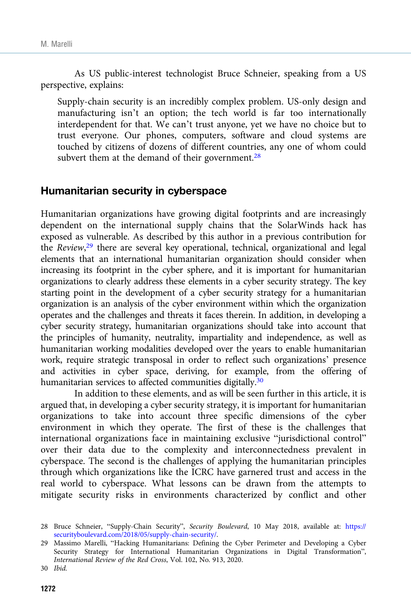As US public-interest technologist Bruce Schneier, speaking from a US perspective, explains:

Supply-chain security is an incredibly complex problem. US-only design and manufacturing isn't an option; the tech world is far too internationally interdependent for that. We can't trust anyone, yet we have no choice but to trust everyone. Our phones, computers, software and cloud systems are touched by citizens of dozens of different countries, any one of whom could subvert them at the demand of their government. $28$ 

#### Humanitarian security in cyberspace

Humanitarian organizations have growing digital footprints and are increasingly dependent on the international supply chains that the SolarWinds hack has exposed as vulnerable. As described by this author in a previous contribution for the Review,<sup>29</sup> there are several key operational, technical, organizational and legal elements that an international humanitarian organization should consider when increasing its footprint in the cyber sphere, and it is important for humanitarian organizations to clearly address these elements in a cyber security strategy. The key starting point in the development of a cyber security strategy for a humanitarian organization is an analysis of the cyber environment within which the organization operates and the challenges and threats it faces therein. In addition, in developing a cyber security strategy, humanitarian organizations should take into account that the principles of humanity, neutrality, impartiality and independence, as well as humanitarian working modalities developed over the years to enable humanitarian work, require strategic transposal in order to reflect such organizations' presence and activities in cyber space, deriving, for example, from the offering of humanitarian services to affected communities digitally.<sup>30</sup>

In addition to these elements, and as will be seen further in this article, it is argued that, in developing a cyber security strategy, it is important for humanitarian organizations to take into account three specific dimensions of the cyber environment in which they operate. The first of these is the challenges that international organizations face in maintaining exclusive "jurisdictional control" over their data due to the complexity and interconnectedness prevalent in cyberspace. The second is the challenges of applying the humanitarian principles through which organizations like the ICRC have garnered trust and access in the real world to cyberspace. What lessons can be drawn from the attempts to mitigate security risks in environments characterized by conflict and other

<sup>28</sup> Bruce Schneier, "Supply-Chain Security", Security Boulevard, 10 May 2018, available at: [https://](https://securityboulevard.com/2018/05/supply-chain-security/) [securityboulevard.com/2018/05/supply-chain-security/](https://securityboulevard.com/2018/05/supply-chain-security/).

<sup>29</sup> Massimo Marelli, "Hacking Humanitarians: Defining the Cyber Perimeter and Developing a Cyber Security Strategy for International Humanitarian Organizations in Digital Transformation", International Review of the Red Cross, Vol. 102, No. 913, 2020.

<sup>30</sup> Ibid.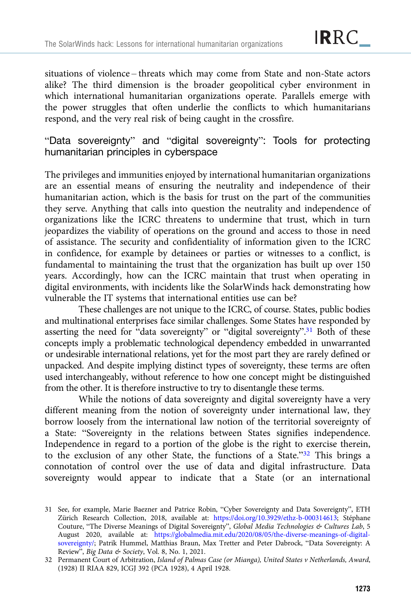situations of violence – threats which may come from State and non-State actors alike? The third dimension is the broader geopolitical cyber environment in which international humanitarian organizations operate. Parallels emerge with the power struggles that often underlie the conflicts to which humanitarians respond, and the very real risk of being caught in the crossfire.

"Data sovereignty" and "digital sovereignty": Tools for protecting humanitarian principles in cyberspace

The privileges and immunities enjoyed by international humanitarian organizations are an essential means of ensuring the neutrality and independence of their humanitarian action, which is the basis for trust on the part of the communities they serve. Anything that calls into question the neutrality and independence of organizations like the ICRC threatens to undermine that trust, which in turn jeopardizes the viability of operations on the ground and access to those in need of assistance. The security and confidentiality of information given to the ICRC in confidence, for example by detainees or parties or witnesses to a conflict, is fundamental to maintaining the trust that the organization has built up over 150 years. Accordingly, how can the ICRC maintain that trust when operating in digital environments, with incidents like the SolarWinds hack demonstrating how vulnerable the IT systems that international entities use can be?

These challenges are not unique to the ICRC, of course. States, public bodies and multinational enterprises face similar challenges. Some States have responded by asserting the need for "data sovereignty" or "digital sovereignty".<sup>31</sup> Both of these concepts imply a problematic technological dependency embedded in unwarranted or undesirable international relations, yet for the most part they are rarely defined or unpacked. And despite implying distinct types of sovereignty, these terms are often used interchangeably, without reference to how one concept might be distinguished from the other. It is therefore instructive to try to disentangle these terms.

While the notions of data sovereignty and digital sovereignty have a very different meaning from the notion of sovereignty under international law, they borrow loosely from the international law notion of the territorial sovereignty of a State: "Sovereignty in the relations between States signifies independence. Independence in regard to a portion of the globe is the right to exercise therein, to the exclusion of any other State, the functions of a State."<sup>32</sup> This brings a connotation of control over the use of data and digital infrastructure. Data sovereignty would appear to indicate that a State (or an international

<sup>31</sup> See, for example, Marie Baezner and Patrice Robin, "Cyber Sovereignty and Data Sovereignty", ETH Zürich Research Collection, 2018, available at: <https://doi.org/10.3929/ethz-b-000314613>; Stéphane Couture, "The Diverse Meanings of Digital Sovereignty", Global Media Technologies & Cultures Lab, 5 August 2020, available at: [https://globalmedia.mit.edu/2020/08/05/the-diverse-meanings-of-digital](https://globalmedia.mit.edu/2020/08/05/the-diverse-meanings-of-digital-sovereignty/)[sovereignty/;](https://globalmedia.mit.edu/2020/08/05/the-diverse-meanings-of-digital-sovereignty/) Patrik Hummel, Matthias Braun, Max Tretter and Peter Dabrock, "Data Sovereignty: A Review", Big Data & Society, Vol. 8, No. 1, 2021.

<sup>32</sup> Permanent Court of Arbitration, Island of Palmas Case (or Mianga), United States v Netherlands, Award, (1928) II RIAA 829, ICGJ 392 (PCA 1928), 4 April 1928.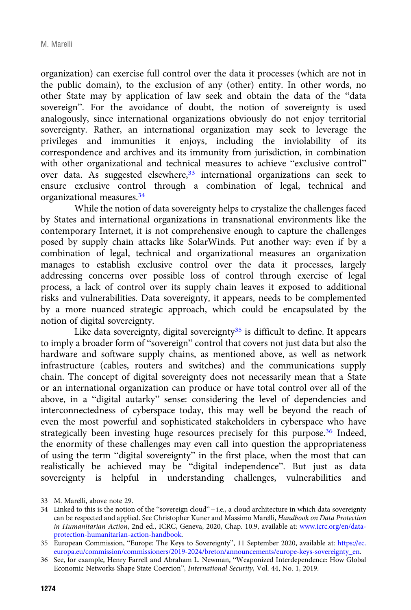organization) can exercise full control over the data it processes (which are not in the public domain), to the exclusion of any (other) entity. In other words, no other State may by application of law seek and obtain the data of the "data sovereign". For the avoidance of doubt, the notion of sovereignty is used analogously, since international organizations obviously do not enjoy territorial sovereignty. Rather, an international organization may seek to leverage the privileges and immunities it enjoys, including the inviolability of its correspondence and archives and its immunity from jurisdiction, in combination with other organizational and technical measures to achieve "exclusive control" over data. As suggested elsewhere,<sup>33</sup> international organizations can seek to ensure exclusive control through a combination of legal, technical and organizational measures.34

While the notion of data sovereignty helps to crystalize the challenges faced by States and international organizations in transnational environments like the contemporary Internet, it is not comprehensive enough to capture the challenges posed by supply chain attacks like SolarWinds. Put another way: even if by a combination of legal, technical and organizational measures an organization manages to establish exclusive control over the data it processes, largely addressing concerns over possible loss of control through exercise of legal process, a lack of control over its supply chain leaves it exposed to additional risks and vulnerabilities. Data sovereignty, it appears, needs to be complemented by a more nuanced strategic approach, which could be encapsulated by the notion of digital sovereignty.

Like data sovereignty, digital sovereignty $35$  is difficult to define. It appears to imply a broader form of "sovereign" control that covers not just data but also the hardware and software supply chains, as mentioned above, as well as network infrastructure (cables, routers and switches) and the communications supply chain. The concept of digital sovereignty does not necessarily mean that a State or an international organization can produce or have total control over all of the above, in a "digital autarky" sense: considering the level of dependencies and interconnectedness of cyberspace today, this may well be beyond the reach of even the most powerful and sophisticated stakeholders in cyberspace who have strategically been investing huge resources precisely for this purpose.<sup>36</sup> Indeed, the enormity of these challenges may even call into question the appropriateness of using the term "digital sovereignty" in the first place, when the most that can realistically be achieved may be "digital independence". But just as data sovereignty is helpful in understanding challenges, vulnerabilities and

<sup>33</sup> M. Marelli, above note 29.

<sup>34</sup> Linked to this is the notion of the "sovereign cloud" – i.e., a cloud architecture in which data sovereignty can be respected and applied. See Christopher Kuner and Massimo Marelli, Handbook on Data Protection in Humanitarian Action, 2nd ed., ICRC, Geneva, 2020, Chap. 10.9, available at: [www.icrc.org/en/data](https://www.icrc.org/en/data-protection-humanitarian-action-handbook)[protection-humanitarian-action-handbook.](https://www.icrc.org/en/data-protection-humanitarian-action-handbook)

<sup>35</sup> European Commission, "Europe: The Keys to Sovereignty", 11 September 2020, available at: [https://ec.](https://ec.europa.eu/commission/commissioners/2019-2024/breton/announcements/europe-keys-sovereignty_en) [europa.eu/commission/commissioners/2019-2024/breton/announcements/europe-keys-sovereignty\\_en](https://ec.europa.eu/commission/commissioners/2019-2024/breton/announcements/europe-keys-sovereignty_en).

<sup>36</sup> See, for example, Henry Farrell and Abraham L. Newman, "Weaponized Interdependence: How Global Economic Networks Shape State Coercion", International Security, Vol. 44, No. 1, 2019.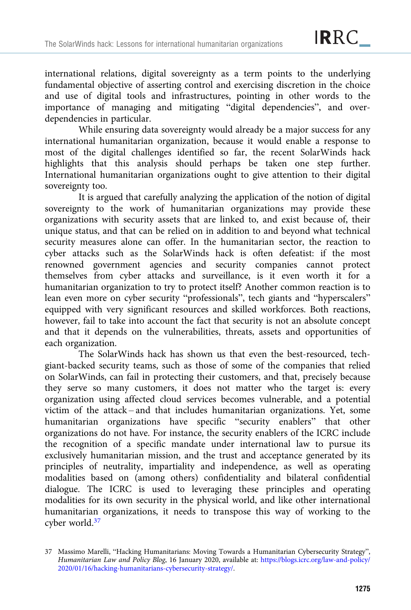international relations, digital sovereignty as a term points to the underlying fundamental objective of asserting control and exercising discretion in the choice and use of digital tools and infrastructures, pointing in other words to the importance of managing and mitigating "digital dependencies", and overdependencies in particular.

While ensuring data sovereignty would already be a major success for any international humanitarian organization, because it would enable a response to most of the digital challenges identified so far, the recent SolarWinds hack highlights that this analysis should perhaps be taken one step further. International humanitarian organizations ought to give attention to their digital sovereignty too.

It is argued that carefully analyzing the application of the notion of digital sovereignty to the work of humanitarian organizations may provide these organizations with security assets that are linked to, and exist because of, their unique status, and that can be relied on in addition to and beyond what technical security measures alone can offer. In the humanitarian sector, the reaction to cyber attacks such as the SolarWinds hack is often defeatist: if the most renowned government agencies and security companies cannot protect themselves from cyber attacks and surveillance, is it even worth it for a humanitarian organization to try to protect itself? Another common reaction is to lean even more on cyber security "professionals", tech giants and "hyperscalers" equipped with very significant resources and skilled workforces. Both reactions, however, fail to take into account the fact that security is not an absolute concept and that it depends on the vulnerabilities, threats, assets and opportunities of each organization.

The SolarWinds hack has shown us that even the best-resourced, techgiant-backed security teams, such as those of some of the companies that relied on SolarWinds, can fail in protecting their customers, and that, precisely because they serve so many customers, it does not matter who the target is: every organization using affected cloud services becomes vulnerable, and a potential victim of the attack – and that includes humanitarian organizations. Yet, some humanitarian organizations have specific "security enablers" that other organizations do not have. For instance, the security enablers of the ICRC include the recognition of a specific mandate under international law to pursue its exclusively humanitarian mission, and the trust and acceptance generated by its principles of neutrality, impartiality and independence, as well as operating modalities based on (among others) confidentiality and bilateral confidential dialogue. The ICRC is used to leveraging these principles and operating modalities for its own security in the physical world, and like other international humanitarian organizations, it needs to transpose this way of working to the cyber world.37

<sup>37</sup> Massimo Marelli, "Hacking Humanitarians: Moving Towards a Humanitarian Cybersecurity Strategy", Humanitarian Law and Policy Blog, 16 January 2020, available at: [https://blogs.icrc.org/law-and-policy/](https://blogs.icrc.org/law-and-policy/2020/01/16/hacking-humanitarians-cybersecurity-strategy/) [2020/01/16/hacking-humanitarians-cybersecurity-strategy/](https://blogs.icrc.org/law-and-policy/2020/01/16/hacking-humanitarians-cybersecurity-strategy/).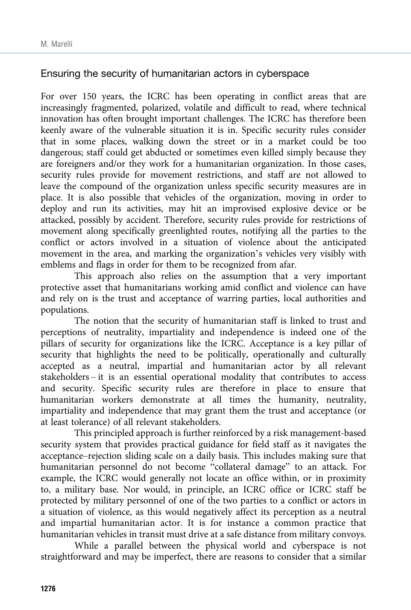## Ensuring the security of humanitarian actors in cyberspace

For over 150 years, the ICRC has been operating in conflict areas that are increasingly fragmented, polarized, volatile and difficult to read, where technical innovation has often brought important challenges. The ICRC has therefore been keenly aware of the vulnerable situation it is in. Specific security rules consider that in some places, walking down the street or in a market could be too dangerous; staff could get abducted or sometimes even killed simply because they are foreigners and/or they work for a humanitarian organization. In those cases, security rules provide for movement restrictions, and staff are not allowed to leave the compound of the organization unless specific security measures are in place. It is also possible that vehicles of the organization, moving in order to deploy and run its activities, may hit an improvised explosive device or be attacked, possibly by accident. Therefore, security rules provide for restrictions of movement along specifically greenlighted routes, notifying all the parties to the conflict or actors involved in a situation of violence about the anticipated movement in the area, and marking the organization's vehicles very visibly with emblems and flags in order for them to be recognized from afar.

This approach also relies on the assumption that a very important protective asset that humanitarians working amid conflict and violence can have and rely on is the trust and acceptance of warring parties, local authorities and populations.

The notion that the security of humanitarian staff is linked to trust and perceptions of neutrality, impartiality and independence is indeed one of the pillars of security for organizations like the ICRC. Acceptance is a key pillar of security that highlights the need to be politically, operationally and culturally accepted as a neutral, impartial and humanitarian actor by all relevant stakeholders – it is an essential operational modality that contributes to access and security. Specific security rules are therefore in place to ensure that humanitarian workers demonstrate at all times the humanity, neutrality, impartiality and independence that may grant them the trust and acceptance (or at least tolerance) of all relevant stakeholders.

This principled approach is further reinforced by a risk management-based security system that provides practical guidance for field staff as it navigates the acceptance–rejection sliding scale on a daily basis. This includes making sure that humanitarian personnel do not become "collateral damage" to an attack. For example, the ICRC would generally not locate an office within, or in proximity to, a military base. Nor would, in principle, an ICRC office or ICRC staff be protected by military personnel of one of the two parties to a conflict or actors in a situation of violence, as this would negatively affect its perception as a neutral and impartial humanitarian actor. It is for instance a common practice that humanitarian vehicles in transit must drive at a safe distance from military convoys.

While a parallel between the physical world and cyberspace is not straightforward and may be imperfect, there are reasons to consider that a similar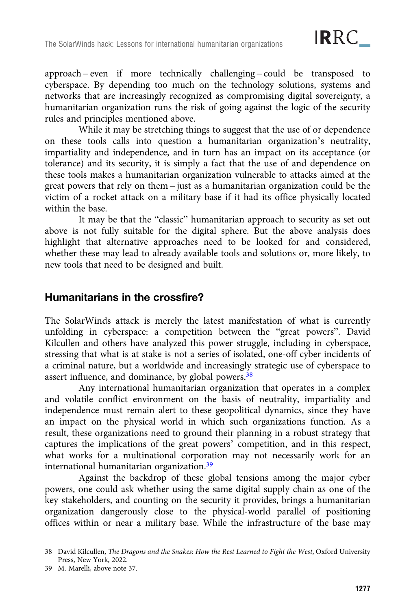approach – even if more technically challenging – could be transposed to cyberspace. By depending too much on the technology solutions, systems and networks that are increasingly recognized as compromising digital sovereignty, a humanitarian organization runs the risk of going against the logic of the security rules and principles mentioned above.

While it may be stretching things to suggest that the use of or dependence on these tools calls into question a humanitarian organization's neutrality, impartiality and independence, and in turn has an impact on its acceptance (or tolerance) and its security, it is simply a fact that the use of and dependence on these tools makes a humanitarian organization vulnerable to attacks aimed at the great powers that rely on them – just as a humanitarian organization could be the victim of a rocket attack on a military base if it had its office physically located within the base.

It may be that the "classic" humanitarian approach to security as set out above is not fully suitable for the digital sphere. But the above analysis does highlight that alternative approaches need to be looked for and considered, whether these may lead to already available tools and solutions or, more likely, to new tools that need to be designed and built.

# Humanitarians in the crossfire?

The SolarWinds attack is merely the latest manifestation of what is currently unfolding in cyberspace: a competition between the "great powers". David Kilcullen and others have analyzed this power struggle, including in cyberspace, stressing that what is at stake is not a series of isolated, one-off cyber incidents of a criminal nature, but a worldwide and increasingly strategic use of cyberspace to assert influence, and dominance, by global powers.38

Any international humanitarian organization that operates in a complex and volatile conflict environment on the basis of neutrality, impartiality and independence must remain alert to these geopolitical dynamics, since they have an impact on the physical world in which such organizations function. As a result, these organizations need to ground their planning in a robust strategy that captures the implications of the great powers' competition, and in this respect, what works for a multinational corporation may not necessarily work for an international humanitarian organization.39

Against the backdrop of these global tensions among the major cyber powers, one could ask whether using the same digital supply chain as one of the key stakeholders, and counting on the security it provides, brings a humanitarian organization dangerously close to the physical-world parallel of positioning offices within or near a military base. While the infrastructure of the base may

<sup>38</sup> David Kilcullen, The Dragons and the Snakes: How the Rest Learned to Fight the West, Oxford University Press, New York, 2022.

<sup>39</sup> M. Marelli, above note 37.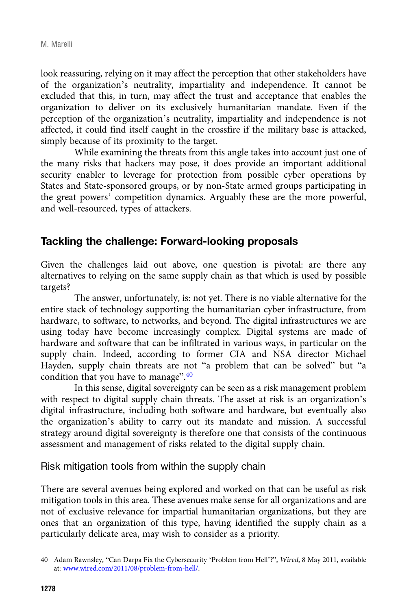look reassuring, relying on it may affect the perception that other stakeholders have of the organization's neutrality, impartiality and independence. It cannot be excluded that this, in turn, may affect the trust and acceptance that enables the organization to deliver on its exclusively humanitarian mandate. Even if the perception of the organization's neutrality, impartiality and independence is not affected, it could find itself caught in the crossfire if the military base is attacked, simply because of its proximity to the target.

While examining the threats from this angle takes into account just one of the many risks that hackers may pose, it does provide an important additional security enabler to leverage for protection from possible cyber operations by States and State-sponsored groups, or by non-State armed groups participating in the great powers' competition dynamics. Arguably these are the more powerful, and well-resourced, types of attackers.

## Tackling the challenge: Forward-looking proposals

Given the challenges laid out above, one question is pivotal: are there any alternatives to relying on the same supply chain as that which is used by possible targets?

The answer, unfortunately, is: not yet. There is no viable alternative for the entire stack of technology supporting the humanitarian cyber infrastructure, from hardware, to software, to networks, and beyond. The digital infrastructures we are using today have become increasingly complex. Digital systems are made of hardware and software that can be infiltrated in various ways, in particular on the supply chain. Indeed, according to former CIA and NSA director Michael Hayden, supply chain threats are not "a problem that can be solved" but "a condition that you have to manage".<sup>40</sup>

In this sense, digital sovereignty can be seen as a risk management problem with respect to digital supply chain threats. The asset at risk is an organization's digital infrastructure, including both software and hardware, but eventually also the organization's ability to carry out its mandate and mission. A successful strategy around digital sovereignty is therefore one that consists of the continuous assessment and management of risks related to the digital supply chain.

Risk mitigation tools from within the supply chain

There are several avenues being explored and worked on that can be useful as risk mitigation tools in this area. These avenues make sense for all organizations and are not of exclusive relevance for impartial humanitarian organizations, but they are ones that an organization of this type, having identified the supply chain as a particularly delicate area, may wish to consider as a priority.

<sup>40</sup> Adam Rawnsley, "Can Darpa Fix the Cybersecurity 'Problem from Hell'?", Wired, 8 May 2011, available at: [www.wired.com/2011/08/problem-from-hell/.](https://www.wired.com/2011/08/problem-from-hell/)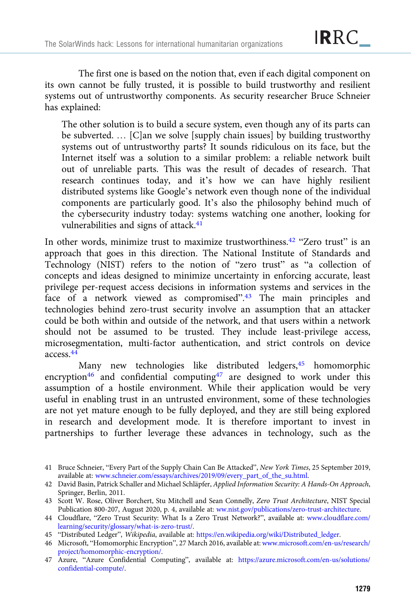The first one is based on the notion that, even if each digital component on its own cannot be fully trusted, it is possible to build trustworthy and resilient systems out of untrustworthy components. As security researcher Bruce Schneier has explained:

The other solution is to build a secure system, even though any of its parts can be subverted. … [C]an we solve [supply chain issues] by building trustworthy systems out of untrustworthy parts? It sounds ridiculous on its face, but the Internet itself was a solution to a similar problem: a reliable network built out of unreliable parts. This was the result of decades of research. That research continues today, and it's how we can have highly resilient distributed systems like Google's network even though none of the individual components are particularly good. It's also the philosophy behind much of the cybersecurity industry today: systems watching one another, looking for vulnerabilities and signs of attack.<sup>41</sup>

In other words, minimize trust to maximize trustworthiness.<sup>42</sup> "Zero trust" is an approach that goes in this direction. The National Institute of Standards and Technology (NIST) refers to the notion of "zero trust" as "a collection of concepts and ideas designed to minimize uncertainty in enforcing accurate, least privilege per-request access decisions in information systems and services in the face of a network viewed as compromised".<sup>43</sup> The main principles and technologies behind zero-trust security involve an assumption that an attacker could be both within and outside of the network, and that users within a network should not be assumed to be trusted. They include least-privilege access, microsegmentation, multi-factor authentication, and strict controls on device access.44

Many new technologies like distributed ledgers,<sup>45</sup> homomorphic encryption<sup>46</sup> and confidential computing<sup>47</sup> are designed to work under this assumption of a hostile environment. While their application would be very useful in enabling trust in an untrusted environment, some of these technologies are not yet mature enough to be fully deployed, and they are still being explored in research and development mode. It is therefore important to invest in partnerships to further leverage these advances in technology, such as the

<sup>41</sup> Bruce Schneier, "Every Part of the Supply Chain Can Be Attacked", New York Times, 25 September 2019, available at: [www.schneier.com/essays/archives/2019/09/every\\_part\\_of\\_the\\_su.html.](https://www.schneier.com/essays/archives/2019/09/every_part_of_the_su.html)

<sup>42</sup> David Basin, Patrick Schaller and Michael Schläpfer, Applied Information Security: A Hands-On Approach, Springer, Berlin, 2011.

<sup>43</sup> Scott W. Rose, Oliver Borchert, Stu Mitchell and Sean Connelly, Zero Trust Architecture, NIST Special Publication 800-207, August 2020, p. 4, available at: [ww.nist.gov/publications/zero-trust-architecture](https://www.nist.gov/publications/zero-trust-architecture).

<sup>44</sup> Cloudflare, "Zero Trust Security: What Is a Zero Trust Network?", available at: [www.cloudflare.com/](https://www.cloudflare.com/learning/security/glossary/what-is-zero-trust/) [learning/security/glossary/what-is-zero-trust/.](https://www.cloudflare.com/learning/security/glossary/what-is-zero-trust/)

<sup>45</sup> "Distributed Ledger", Wikipedia, available at: [https://en.wikipedia.org/wiki/Distributed\\_ledger.](https://en.wikipedia.org/wiki/Distributed_ledger)

<sup>46</sup> Microsoft, "Homomorphic Encryption", 27 March 2016, available at: [www.microsoft.com/en-us/research/](https://www.microsoft.com/en-us/research/project/homomorphic-encryption/) [project/homomorphic-encryption/](https://www.microsoft.com/en-us/research/project/homomorphic-encryption/).

<sup>47</sup> Azure, "Azure Confidential Computing", available at: [https://azure.microsoft.com/en-us/solutions/](https://azure.microsoft.com/en-us/solutions/confidential-compute/) [confidential-compute/.](https://azure.microsoft.com/en-us/solutions/confidential-compute/)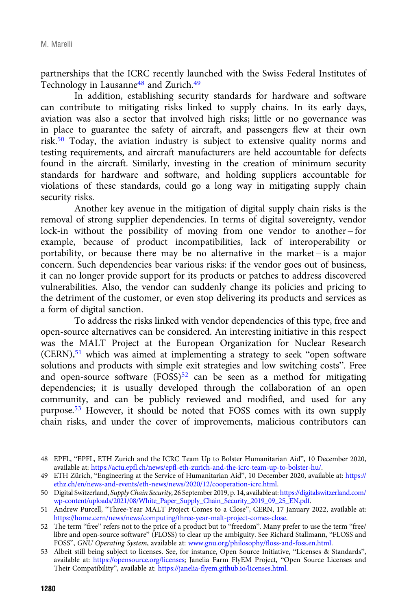partnerships that the ICRC recently launched with the Swiss Federal Institutes of Technology in Lausanne<sup>48</sup> and Zurich.<sup>49</sup>

In addition, establishing security standards for hardware and software can contribute to mitigating risks linked to supply chains. In its early days, aviation was also a sector that involved high risks; little or no governance was in place to guarantee the safety of aircraft, and passengers flew at their own risk.50 Today, the aviation industry is subject to extensive quality norms and testing requirements, and aircraft manufacturers are held accountable for defects found in the aircraft. Similarly, investing in the creation of minimum security standards for hardware and software, and holding suppliers accountable for violations of these standards, could go a long way in mitigating supply chain security risks.

Another key avenue in the mitigation of digital supply chain risks is the removal of strong supplier dependencies. In terms of digital sovereignty, vendor lock-in without the possibility of moving from one vendor to another – for example, because of product incompatibilities, lack of interoperability or portability, or because there may be no alternative in the market – is a major concern. Such dependencies bear various risks: if the vendor goes out of business, it can no longer provide support for its products or patches to address discovered vulnerabilities. Also, the vendor can suddenly change its policies and pricing to the detriment of the customer, or even stop delivering its products and services as a form of digital sanction.

To address the risks linked with vendor dependencies of this type, free and open-source alternatives can be considered. An interesting initiative in this respect was the MALT Project at the European Organization for Nuclear Research (CERN),51 which was aimed at implementing a strategy to seek "open software solutions and products with simple exit strategies and low switching costs". Free and open-source software (FOSS)<sup>52</sup> can be seen as a method for mitigating dependencies; it is usually developed through the collaboration of an open community, and can be publicly reviewed and modified, and used for any purpose.53 However, it should be noted that FOSS comes with its own supply chain risks, and under the cover of improvements, malicious contributors can

<sup>48</sup> EPFL, "EPFL, ETH Zurich and the ICRC Team Up to Bolster Humanitarian Aid", 10 December 2020, available at: <https://actu.epfl.ch/news/epfl-eth-zurich-and-the-icrc-team-up-to-bolster-hu/>.

<sup>49</sup> ETH Zürich, "Engineering at the Service of Humanitarian Aid", 10 December 2020, available at: [https://](https://ethz.ch/en/news-and-events/eth-news/news/2020/12/cooperation-icrc.html) [ethz.ch/en/news-and-events/eth-news/news/2020/12/cooperation-icrc.html](https://ethz.ch/en/news-and-events/eth-news/news/2020/12/cooperation-icrc.html).

<sup>50</sup> Digital Switzerland, Supply Chain Security, 26 September 2019, p. 14, available at: [https://digitalswitzerland.com/](https://digitalswitzerland.com/wp-content/uploads/2021/08/White_Paper_Supply_Chain_Security_2019_09_25_EN.pdf) [wp-content/uploads/2021/08/White\\_Paper\\_Supply\\_Chain\\_Security\\_2019\\_09\\_25\\_EN.pdf.](https://digitalswitzerland.com/wp-content/uploads/2021/08/White_Paper_Supply_Chain_Security_2019_09_25_EN.pdf)

<sup>51</sup> Andrew Purcell, "Three-Year MALT Project Comes to a Close", CERN, 17 January 2022, available at: [https://home.cern/news/news/computing/three-year-malt-project-comes-close.](https://home.cern/news/news/computing/three-year-malt-project-comes-close)

<sup>52</sup> The term "free" refers not to the price of a product but to "freedom". Many prefer to use the term "free/ libre and open-source software" (FLOSS) to clear up the ambiguity. See Richard Stallmann, "FLOSS and FOSS", GNU Operating System, available at: [www.gnu.org/philosophy/floss-and-foss.en.html](https://www.gnu.org/philosophy/floss-and-foss.en.html).

<sup>53</sup> Albeit still being subject to licenses. See, for instance, Open Source Initiative, "Licenses & Standards", available at: <https://opensource.org/licenses>; Janelia Farm FlyEM Project, "Open Source Licenses and Their Compatibility", available at: <https://janelia-flyem.github.io/licenses.html>.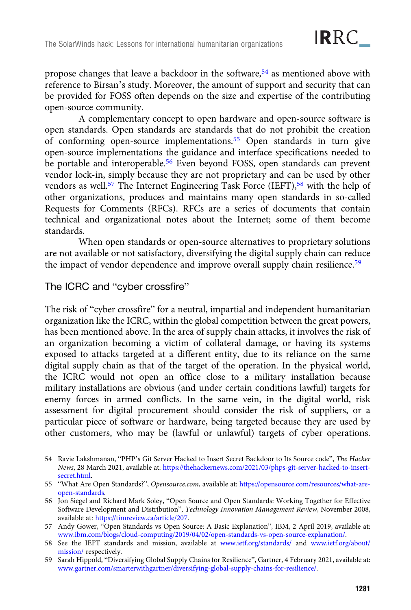propose changes that leave a backdoor in the software,<sup>54</sup> as mentioned above with reference to Birsan's study. Moreover, the amount of support and security that can be provided for FOSS often depends on the size and expertise of the contributing open-source community.

A complementary concept to open hardware and open-source software is open standards. Open standards are standards that do not prohibit the creation of conforming open-source implementations.<sup>55</sup> Open standards in turn give open-source implementations the guidance and interface specifications needed to be portable and interoperable.<sup>56</sup> Even beyond FOSS, open standards can prevent vendor lock-in, simply because they are not proprietary and can be used by other vendors as well.<sup>57</sup> The Internet Engineering Task Force (IEFT),<sup>58</sup> with the help of other organizations, produces and maintains many open standards in so-called Requests for Comments (RFCs). RFCs are a series of documents that contain technical and organizational notes about the Internet; some of them become standards.

When open standards or open-source alternatives to proprietary solutions are not available or not satisfactory, diversifying the digital supply chain can reduce the impact of vendor dependence and improve overall supply chain resilience.<sup>59</sup>

## The ICRC and "cyber crossfire"

The risk of "cyber crossfire" for a neutral, impartial and independent humanitarian organization like the ICRC, within the global competition between the great powers, has been mentioned above. In the area of supply chain attacks, it involves the risk of an organization becoming a victim of collateral damage, or having its systems exposed to attacks targeted at a different entity, due to its reliance on the same digital supply chain as that of the target of the operation. In the physical world, the ICRC would not open an office close to a military installation because military installations are obvious (and under certain conditions lawful) targets for enemy forces in armed conflicts. In the same vein, in the digital world, risk assessment for digital procurement should consider the risk of suppliers, or a particular piece of software or hardware, being targeted because they are used by other customers, who may be (lawful or unlawful) targets of cyber operations.

<sup>54</sup> Ravie Lakshmanan, "PHP's Git Server Hacked to Insert Secret Backdoor to Its Source code", The Hacker News, 28 March 2021, available at: [https://thehackernews.com/2021/03/phps-git-server-hacked-to-insert](https://thehackernews.com/2021/03/phps-git-server-hacked-to-insert-secret.html)[secret.html.](https://thehackernews.com/2021/03/phps-git-server-hacked-to-insert-secret.html)

<sup>55</sup> "What Are Open Standards?", Opensource.com, available at: [https://opensource.com/resources/what-are](https://opensource.com/resources/what-are-open-standards)[open-standards](https://opensource.com/resources/what-are-open-standards).

<sup>56</sup> Jon Siegel and Richard Mark Soley, "Open Source and Open Standards: Working Together for Effective Software Development and Distribution", Technology Innovation Management Review, November 2008, available at: <https://timreview.ca/article/207>.

<sup>57</sup> Andy Gower, "Open Standards vs Open Source: A Basic Explanation", IBM, 2 April 2019, available at: [www.ibm.com/blogs/cloud-computing/2019/04/02/open-standards-vs-open-source-explanation/.](https://www.ibm.com/blogs/cloud-computing/2019/04/02/open-standards-vs-open-source-explanation/)

<sup>58</sup> See the IEFT standards and mission, available at [www.ietf.org/standards/](https://www.ietf.org/standards/) and [www.ietf.org/about/](https://www.ietf.org/about/mission/) [mission/](https://www.ietf.org/about/mission/) respectively.

<sup>59</sup> Sarah Hippold, "Diversifying Global Supply Chains for Resilience", Gartner, 4 February 2021, available at: [www.gartner.com/smarterwithgartner/diversifying-global-supply-chains-for-resilience/](https://www.gartner.com/smarterwithgartner/diversifying-global-supply-chains-for-resilience/).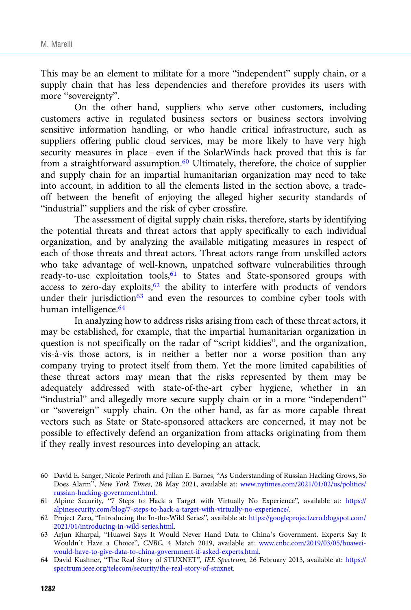This may be an element to militate for a more "independent" supply chain, or a supply chain that has less dependencies and therefore provides its users with more "sovereignty".

On the other hand, suppliers who serve other customers, including customers active in regulated business sectors or business sectors involving sensitive information handling, or who handle critical infrastructure, such as suppliers offering public cloud services, may be more likely to have very high security measures in place – even if the SolarWinds hack proved that this is far from a straightforward assumption.<sup>60</sup> Ultimately, therefore, the choice of supplier and supply chain for an impartial humanitarian organization may need to take into account, in addition to all the elements listed in the section above, a tradeoff between the benefit of enjoying the alleged higher security standards of "industrial" suppliers and the risk of cyber crossfire.

The assessment of digital supply chain risks, therefore, starts by identifying the potential threats and threat actors that apply specifically to each individual organization, and by analyzing the available mitigating measures in respect of each of those threats and threat actors. Threat actors range from unskilled actors who take advantage of well-known, unpatched software vulnerabilities through ready-to-use exploitation tools,<sup>61</sup> to States and State-sponsored groups with access to zero-day exploits, $62$  the ability to interfere with products of vendors under their jurisdiction<sup>63</sup> and even the resources to combine cyber tools with human intelligence.<sup>64</sup>

In analyzing how to address risks arising from each of these threat actors, it may be established, for example, that the impartial humanitarian organization in question is not specifically on the radar of "script kiddies", and the organization, vis-à-vis those actors, is in neither a better nor a worse position than any company trying to protect itself from them. Yet the more limited capabilities of these threat actors may mean that the risks represented by them may be adequately addressed with state-of-the-art cyber hygiene, whether in an "industrial" and allegedly more secure supply chain or in a more "independent" or "sovereign" supply chain. On the other hand, as far as more capable threat vectors such as State or State-sponsored attackers are concerned, it may not be possible to effectively defend an organization from attacks originating from them if they really invest resources into developing an attack.

- 60 David E. Sanger, Nicole Periroth and Julian E. Barnes, "As Understanding of Russian Hacking Grows, So Does Alarm", New York Times, 28 May 2021, available at: [www.nytimes.com/2021/01/02/us/politics/](https://www.nytimes.com/2021/01/02/us/politics/russian-hacking-government.html) [russian-hacking-government.html](https://www.nytimes.com/2021/01/02/us/politics/russian-hacking-government.html).
- 61 Alpine Security, "7 Steps to Hack a Target with Virtually No Experience", available at: [https://](https://alpinesecurity.com/blog/7-steps-to-hack-a-target-with-virtually-no-experience/) [alpinesecurity.com/blog/7-steps-to-hack-a-target-with-virtually-no-experience/.](https://alpinesecurity.com/blog/7-steps-to-hack-a-target-with-virtually-no-experience/)
- 62 Project Zero, "Introducing the In-the-Wild Series", available at: [https://googleprojectzero.blogspot.com/](https://googleprojectzero.blogspot.com/2021/01/introducing-in-wild-series.html) [2021/01/introducing-in-wild-series.html.](https://googleprojectzero.blogspot.com/2021/01/introducing-in-wild-series.html)
- 63 Arjun Kharpal, "Huawei Says It Would Never Hand Data to China's Government. Experts Say It Wouldn't Have a Choice", CNBC, 4 Match 2019, available at: [www.cnbc.com/2019/03/05/huawei](https://www.cnbc.com/2019/03/05/huawei-would-have-to-give-data-to-china-government-if-asked-experts.html)[would-have-to-give-data-to-china-government-if-asked-experts.html.](https://www.cnbc.com/2019/03/05/huawei-would-have-to-give-data-to-china-government-if-asked-experts.html)
- 64 David Kushner, "The Real Story of STUXNET", IEE Spectrum, 26 February 2013, available at: [https://](https://spectrum.ieee.org/telecom/security/the-real-story-of-stuxnet) [spectrum.ieee.org/telecom/security/the-real-story-of-stuxnet.](https://spectrum.ieee.org/telecom/security/the-real-story-of-stuxnet)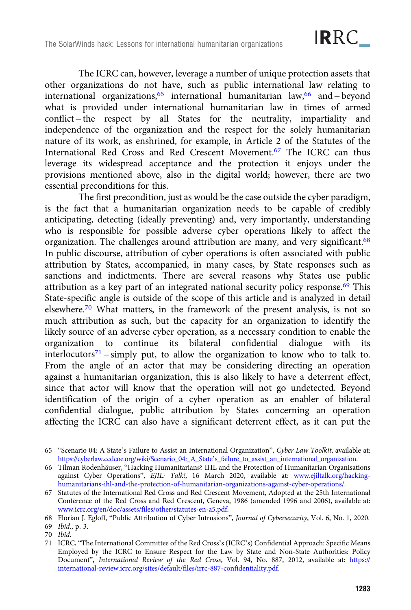The ICRC can, however, leverage a number of unique protection assets that other organizations do not have, such as public international law relating to international organizations,  $65$  international humanitarian law,  $66$  and – beyond what is provided under international humanitarian law in times of armed conflict – the respect by all States for the neutrality, impartiality and independence of the organization and the respect for the solely humanitarian nature of its work, as enshrined, for example, in Article 2 of the Statutes of the International Red Cross and Red Crescent Movement.<sup>67</sup> The ICRC can thus leverage its widespread acceptance and the protection it enjoys under the provisions mentioned above, also in the digital world; however, there are two essential preconditions for this.

The first precondition, just as would be the case outside the cyber paradigm, is the fact that a humanitarian organization needs to be capable of credibly anticipating, detecting (ideally preventing) and, very importantly, understanding who is responsible for possible adverse cyber operations likely to affect the organization. The challenges around attribution are many, and very significant.<sup>68</sup> In public discourse, attribution of cyber operations is often associated with public attribution by States, accompanied, in many cases, by State responses such as sanctions and indictments. There are several reasons why States use public attribution as a key part of an integrated national security policy response. $69$  This State-specific angle is outside of the scope of this article and is analyzed in detail elsewhere.70 What matters, in the framework of the present analysis, is not so much attribution as such, but the capacity for an organization to identify the likely source of an adverse cyber operation, as a necessary condition to enable the organization to continue its bilateral confidential dialogue with its interlocutors<sup>71</sup> – simply put, to allow the organization to know who to talk to. From the angle of an actor that may be considering directing an operation against a humanitarian organization, this is also likely to have a deterrent effect, since that actor will know that the operation will not go undetected. Beyond identification of the origin of a cyber operation as an enabler of bilateral confidential dialogue, public attribution by States concerning an operation affecting the ICRC can also have a significant deterrent effect, as it can put the

- 66 Tilman Rodenhäuser, "Hacking Humanitarians? IHL and the Protection of Humanitarian Organisations against Cyber Operations", EJIL: Talk!, 16 March 2020, available at: [www.ejiltalk.org/hacking](https://www.ejiltalk.org/hacking-humanitarians-ihl-and-the-protection-of-humanitarian-organizations-against-cyber-operations/)[humanitarians-ihl-and-the-protection-of-humanitarian-organizations-against-cyber-operations/.](https://www.ejiltalk.org/hacking-humanitarians-ihl-and-the-protection-of-humanitarian-organizations-against-cyber-operations/)
- 67 Statutes of the International Red Cross and Red Crescent Movement, Adopted at the 25th International Conference of the Red Cross and Red Crescent, Geneva, 1986 (amended 1996 and 2006), available at: [www.icrc.org/en/doc/assets/files/other/statutes-en-a5.pdf.](https://www.icrc.org/en/doc/assets/files/other/statutes-en-a5.pdf)

<sup>65</sup> "Scenario 04: A State's Failure to Assist an International Organization", Cyber Law Toolkit, available at: [https://cyberlaw.ccdcoe.org/wiki/Scenario\\_04:\\_A\\_State](https://cyberlaw.ccdcoe.org/wiki/Scenario_04:_A_State's_failure_to_assist_an_international_organization)'s\_failure\_to\_assist\_an\_international\_organization.

<sup>68</sup> Florian J. Egloff, "Public Attribution of Cyber Intrusions", Journal of Cybersecurity, Vol. 6, No. 1, 2020.

<sup>69</sup> Ibid., p. 3.

<sup>70</sup> Ibid.

<sup>71</sup> ICRC, "The International Committee of the Red Cross's (ICRC's) Confidential Approach: Specific Means Employed by the ICRC to Ensure Respect for the Law by State and Non-State Authorities: Policy Document", International Review of the Red Cross, Vol. 94, No. 887, 2012, available at: [https://](https://international-review.icrc.org/sites/default/files/irrc-887-confidentiality.pdf) [international-review.icrc.org/sites/default/files/irrc-887-confidentiality.pdf](https://international-review.icrc.org/sites/default/files/irrc-887-confidentiality.pdf).